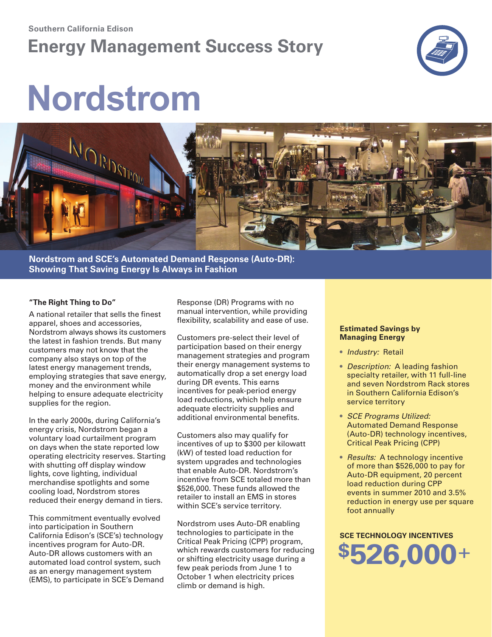#### **Southern California Edison**

## **Energy Management Success Story**



# **Nordstrom**



**Nordstrom and SCE's Automated Demand Response (Auto-DR): Showing That Saving Energy Is Always in Fashion**

#### **"The Right Thing to Do"**

A national retailer that sells the finest apparel, shoes and accessories, Nordstrom always shows its customers the latest in fashion trends. But many customers may not know that the company also stays on top of the latest energy management trends, employing strategies that save energy, money and the environment while helping to ensure adequate electricity supplies for the region.

In the early 2000s, during California's energy crisis, Nordstrom began a voluntary load curtailment program on days when the state reported low operating electricity reserves. Starting with shutting off display window lights, cove lighting, individual merchandise spotlights and some cooling load, Nordstrom stores reduced their energy demand in tiers.

This commitment eventually evolved into participation in Southern California Edison's (SCE's) technology incentives program for Auto-DR. Auto-DR allows customers with an automated load control system, such as an energy management system (EMS), to participate in SCE's Demand Response (DR) Programs with no manual intervention, while providing flexibility, scalability and ease of use.

Customers pre-select their level of participation based on their energy management strategies and program their energy management systems to automatically drop a set energy load during DR events. This earns incentives for peak-period energy load reductions, which help ensure adequate electricity supplies and additional environmental benefits.

Customers also may qualify for incentives of up to \$300 per kilowatt (kW) of tested load reduction for system upgrades and technologies that enable Auto-DR. Nordstrom's incentive from SCE totaled more than \$526,000. These funds allowed the retailer to install an EMS in stores within SCE's service territory.

Nordstrom uses Auto-DR enabling technologies to participate in the Critical Peak Pricing (CPP) program, which rewards customers for reducing or shifting electricity usage during a few peak periods from June 1 to October 1 when electricity prices climb or demand is high.

#### **Estimated Savings by Managing Energy**

- *Industry:* Retail
- *Description:* A leading fashion specialty retailer, with 11 full-line and seven Nordstrom Rack stores in Southern California Edison's service territory
- *SCE Programs Utilized:* Automated Demand Response (Auto-DR) technology incentives, Critical Peak Pricing (CPP)
- *Results:* A technology incentive of more than \$526,000 to pay for Auto-DR equipment, 20 percent load reduction during CPP events in summer 2010 and 3.5% reduction in energy use per square foot annually

**SCE TEChNology INCENTIvES \$526,000**+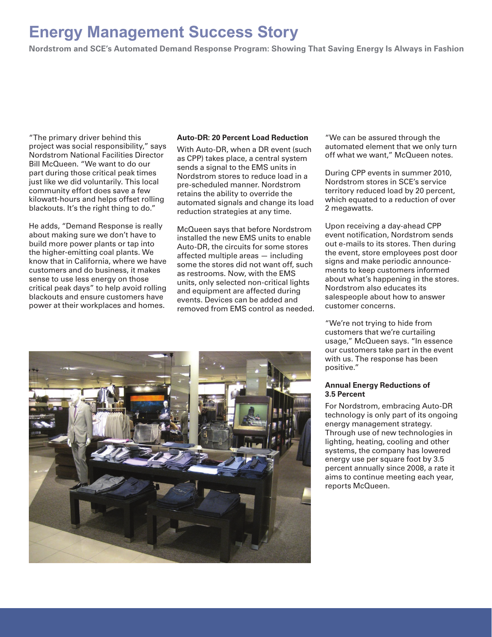## **Energy Management Success Story**

**Nordstrom and SCE's Automated Demand Response Program: Showing That Saving Energy Is Always in Fashion**

"The primary driver behind this project was social responsibility," says Nordstrom National Facilities Director Bill McQueen. "We want to do our part during those critical peak times just like we did voluntarily. This local community effort does save a few kilowatt-hours and helps offset rolling blackouts. It's the right thing to do."

He adds, "Demand Response is really about making sure we don't have to build more power plants or tap into the higher-emitting coal plants. We know that in California, where we have customers and do business, it makes sense to use less energy on those critical peak days" to help avoid rolling blackouts and ensure customers have power at their workplaces and homes.

#### **Auto-DR: 20 Percent load Reduction**

With Auto-DR, when a DR event (such as CPP) takes place, a central system sends a signal to the EMS units in Nordstrom stores to reduce load in a pre-scheduled manner. Nordstrom retains the ability to override the automated signals and change its load reduction strategies at any time.

McQueen says that before Nordstrom installed the new EMS units to enable Auto-DR, the circuits for some stores affected multiple areas — including some the stores did not want off, such as restrooms. Now, with the EMS units, only selected non-critical lights and equipment are affected during events. Devices can be added and removed from EMS control as needed.

"We can be assured through the automated element that we only turn off what we want," McQueen notes.

During CPP events in summer 2010, Nordstrom stores in SCE's service territory reduced load by 20 percent, which equated to a reduction of over 2 megawatts.

Upon receiving a day-ahead CPP event notification, Nordstrom sends out e-mails to its stores. Then during the event, store employees post door signs and make periodic announcements to keep customers informed about what's happening in the stores. Nordstrom also educates its salespeople about how to answer customer concerns.

"We're not trying to hide from customers that we're curtailing usage," McQueen says. "In essence our customers take part in the event with us. The response has been positive."

#### **Annual Energy Reductions of 3.5 Percent**

For Nordstrom, embracing Auto-DR technology is only part of its ongoing energy management strategy. Through use of new technologies in lighting, heating, cooling and other systems, the company has lowered energy use per square foot by 3.5 percent annually since 2008, a rate it aims to continue meeting each year, reports McQueen.